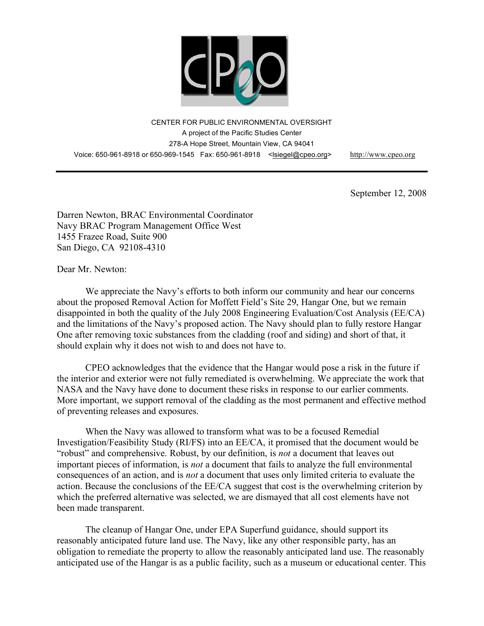

CENTER FOR PUBLIC ENVIRONMENTAL OVERSIGHT A project of the Pacific Studies Center 278-A Hope Street, Mountain View, CA 94041 Voice: 650-961-8918 or 650-969-1545 Fax: 650-961-8918 <lsiegel@cpeo.org> http://www.cpeo.org

September 12, 2008

Darren Newton, BRAC Environmental Coordinator Navy BRAC Program Management Office West 1455 Frazee Road, Suite 900 San Diego, CA 92108-4310

Dear Mr. Newton:

We appreciate the Navy's efforts to both inform our community and hear our concerns about the proposed Removal Action for Moffett Field's Site 29, Hangar One, but we remain disappointed in both the quality of the July 2008 Engineering Evaluation/Cost Analysis (EE/CA) and the limitations of the Navy's proposed action. The Navy should plan to fully restore Hangar One after removing toxic substances from the cladding (roof and siding) and short of that, it should explain why it does not wish to and does not have to.

CPEO acknowledges that the evidence that the Hangar would pose a risk in the future if the interior and exterior were not fully remediated is overwhelming. We appreciate the work that NASA and the Navy have done to document these risks in response to our earlier comments. More important, we support removal of the cladding as the most permanent and effective method of preventing releases and exposures.

When the Navy was allowed to transform what was to be a focused Remedial Investigation/Feasibility Study (RI/FS) into an EE/CA, it promised that the document would be "robust" and comprehensive. Robust, by our definition, is *not* a document that leaves out important pieces of information, is *not* a document that fails to analyze the full environmental consequences of an action, and is *not* a document that uses only limited criteria to evaluate the action. Because the conclusions of the EE/CA suggest that cost is the overwhelming criterion by which the preferred alternative was selected, we are dismayed that all cost elements have not been made transparent.

The cleanup of Hangar One, under EPA Superfund guidance, should support its reasonably anticipated future land use. The Navy, like any other responsible party, has an obligation to remediate the property to allow the reasonably anticipated land use. The reasonably anticipated use of the Hangar is as a public facility, such as a museum or educational center. This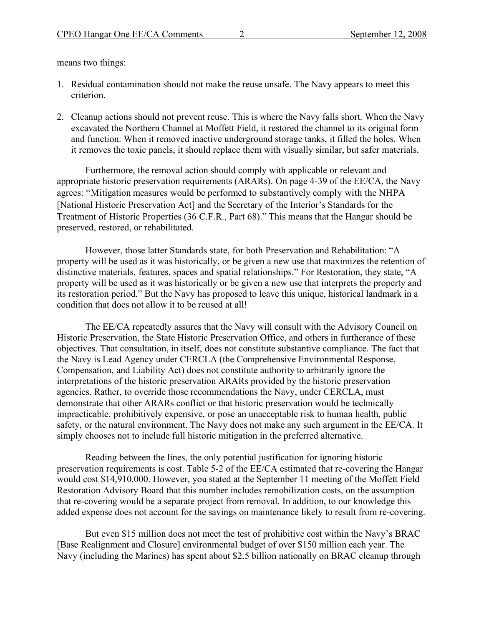means two things:

- 1. Residual contamination should not make the reuse unsafe. The Navy appears to meet this criterion.
- 2. Cleanup actions should not prevent reuse. This is where the Navy falls short. When the Navy excavated the Northern Channel at Moffett Field, it restored the channel to its original form and function. When it removed inactive underground storage tanks, it filled the holes. When it removes the toxic panels, it should replace them with visually similar, but safer materials.

Furthermore, the removal action should comply with applicable or relevant and appropriate historic preservation requirements (ARARs). On page 4-39 of the EE/CA, the Navy agrees: "Mitigation measures would be performed to substantively comply with the NHPA [National Historic Preservation Act] and the Secretary of the Interior's Standards for the Treatment of Historic Properties (36 C.F.R., Part 68)." This means that the Hangar should be preserved, restored, or rehabilitated.

However, those latter Standards state, for both Preservation and Rehabilitation: "A property will be used as it was historically, or be given a new use that maximizes the retention of distinctive materials, features, spaces and spatial relationships." For Restoration, they state, "A property will be used as it was historically or be given a new use that interprets the property and its restoration period." But the Navy has proposed to leave this unique, historical landmark in a condition that does not allow it to be reused at all!

The EE/CA repeatedly assures that the Navy will consult with the Advisory Council on Historic Preservation, the State Historic Preservation Office, and others in furtherance of these objectives. That consultation, in itself, does not constitute substantive compliance. The fact that the Navy is Lead Agency under CERCLA (the Comprehensive Environmental Response, Compensation, and Liability Act) does not constitute authority to arbitrarily ignore the interpretations of the historic preservation ARARs provided by the historic preservation agencies. Rather, to override those recommendations the Navy, under CERCLA, must demonstrate that other ARARs conflict or that historic preservation would be technically impracticable, prohibitively expensive, or pose an unacceptable risk to human health, public safety, or the natural environment. The Navy does not make any such argument in the EE/CA. It simply chooses not to include full historic mitigation in the preferred alternative.

Reading between the lines, the only potential justification for ignoring historic preservation requirements is cost. Table 5-2 of the EE/CA estimated that re-covering the Hangar would cost \$14,910,000. However, you stated at the September 11 meeting of the Moffett Field Restoration Advisory Board that this number includes remobilization costs, on the assumption that re-covering would be a separate project from removal. In addition, to our knowledge this added expense does not account for the savings on maintenance likely to result from re-covering.

But even \$15 million does not meet the test of prohibitive cost within the Navy's BRAC [Base Realignment and Closure] environmental budget of over \$150 million each year. The Navy (including the Marines) has spent about \$2.5 billion nationally on BRAC cleanup through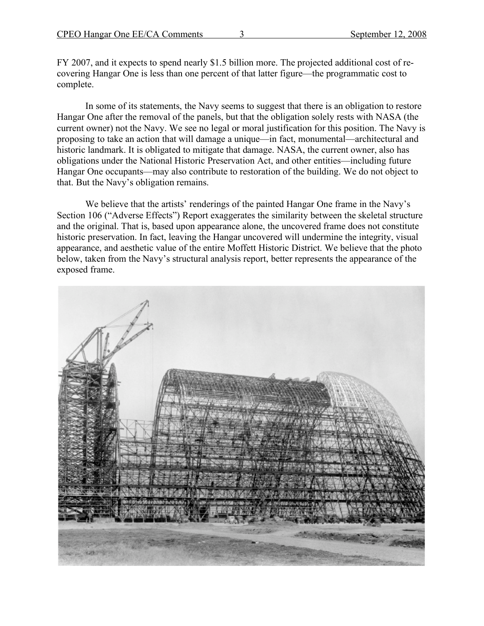FY 2007, and it expects to spend nearly \$1.5 billion more. The projected additional cost of recovering Hangar One is less than one percent of that latter figure—the programmatic cost to complete.

In some of its statements, the Navy seems to suggest that there is an obligation to restore Hangar One after the removal of the panels, but that the obligation solely rests with NASA (the current owner) not the Navy. We see no legal or moral justification for this position. The Navy is proposing to take an action that will damage a unique—in fact, monumental—architectural and historic landmark. It is obligated to mitigate that damage. NASA, the current owner, also has obligations under the National Historic Preservation Act, and other entities—including future Hangar One occupants—may also contribute to restoration of the building. We do not object to that. But the Navy's obligation remains.

We believe that the artists' renderings of the painted Hangar One frame in the Navy's Section 106 ("Adverse Effects") Report exaggerates the similarity between the skeletal structure and the original. That is, based upon appearance alone, the uncovered frame does not constitute historic preservation. In fact, leaving the Hangar uncovered will undermine the integrity, visual appearance, and aesthetic value of the entire Moffett Historic District. We believe that the photo below, taken from the Navy's structural analysis report, better represents the appearance of the exposed frame.